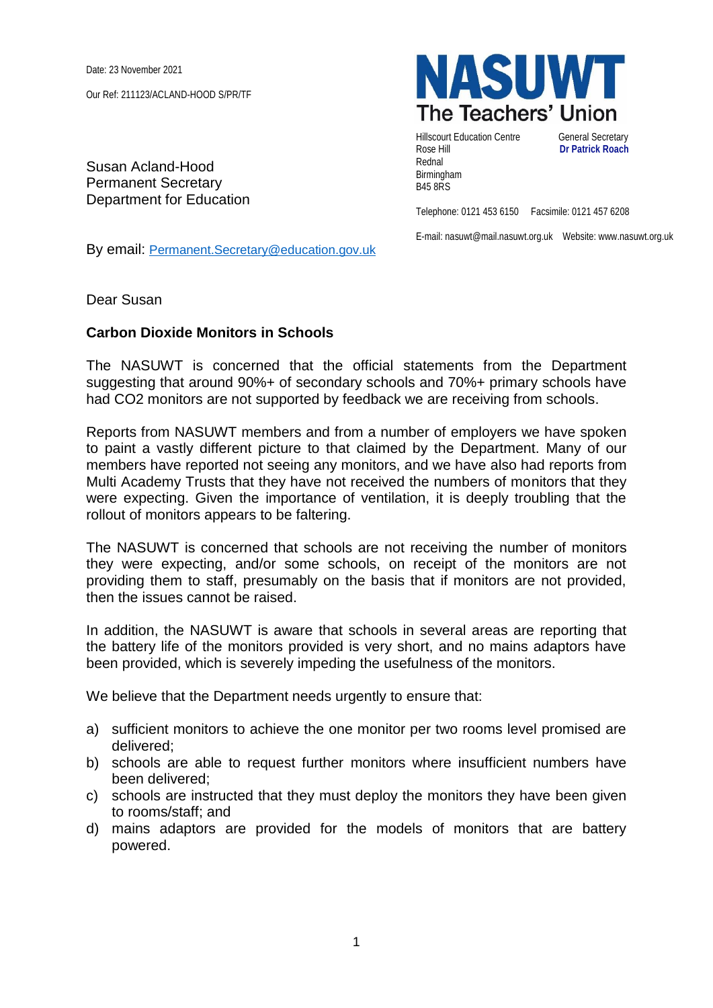Date: 23 November 2021

Our Ref: 211123/ACLAND-HOOD S/PR/TF

Susan Acland-Hood Permanent Secretary Department for Education



Hillscourt Education Centre **General Secretary** Rose Hill **Dr Patrick Roach** Rednal Birmingham B45 8RS

Telephone: 0121 453 6150 Facsimile: 0121 457 6208

E-mail: nasuwt@mail.nasuwt.org.uk Website: www.nasuwt.org.uk

By email: [Permanent.Secretary@education.gov.uk](mailto:Permanent.Secretary@education.gov.uk)

Dear Susan

## **Carbon Dioxide Monitors in Schools**

The NASUWT is concerned that the official statements from the Department suggesting that around 90%+ of secondary schools and 70%+ primary schools have had CO2 monitors are not supported by feedback we are receiving from schools.

Reports from NASUWT members and from a number of employers we have spoken to paint a vastly different picture to that claimed by the Department. Many of our members have reported not seeing any monitors, and we have also had reports from Multi Academy Trusts that they have not received the numbers of monitors that they were expecting. Given the importance of ventilation, it is deeply troubling that the rollout of monitors appears to be faltering.

The NASUWT is concerned that schools are not receiving the number of monitors they were expecting, and/or some schools, on receipt of the monitors are not providing them to staff, presumably on the basis that if monitors are not provided, then the issues cannot be raised.

In addition, the NASUWT is aware that schools in several areas are reporting that the battery life of the monitors provided is very short, and no mains adaptors have been provided, which is severely impeding the usefulness of the monitors.

We believe that the Department needs urgently to ensure that:

- a) sufficient monitors to achieve the one monitor per two rooms level promised are delivered;
- b) schools are able to request further monitors where insufficient numbers have been delivered;
- c) schools are instructed that they must deploy the monitors they have been given to rooms/staff; and
- d) mains adaptors are provided for the models of monitors that are battery powered.